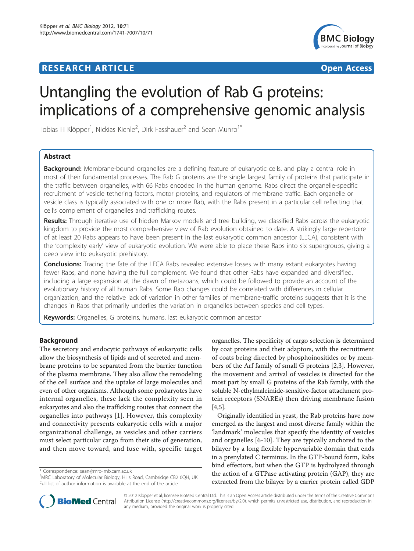# **RESEARCH ARTICLE Example 2014 CONSUMING ACCESS**



# Untangling the evolution of Rab G proteins: implications of a comprehensive genomic analysis

Tobias H Klöpper<sup>1</sup>, Nickias Kienle<sup>2</sup>, Dirk Fasshauer<sup>2</sup> and Sean Munro<sup>1\*</sup>

# Abstract

**Background:** Membrane-bound organelles are a defining feature of eukaryotic cells, and play a central role in most of their fundamental processes. The Rab G proteins are the single largest family of proteins that participate in the traffic between organelles, with 66 Rabs encoded in the human genome. Rabs direct the organelle-specific recruitment of vesicle tethering factors, motor proteins, and regulators of membrane traffic. Each organelle or vesicle class is typically associated with one or more Rab, with the Rabs present in a particular cell reflecting that cell's complement of organelles and trafficking routes.

Results: Through iterative use of hidden Markov models and tree building, we classified Rabs across the eukaryotic kingdom to provide the most comprehensive view of Rab evolution obtained to date. A strikingly large repertoire of at least 20 Rabs appears to have been present in the last eukaryotic common ancestor (LECA), consistent with the 'complexity early' view of eukaryotic evolution. We were able to place these Rabs into six supergroups, giving a deep view into eukaryotic prehistory.

**Conclusions:** Tracing the fate of the LECA Rabs revealed extensive losses with many extant eukaryotes having fewer Rabs, and none having the full complement. We found that other Rabs have expanded and diversified, including a large expansion at the dawn of metazoans, which could be followed to provide an account of the evolutionary history of all human Rabs. Some Rab changes could be correlated with differences in cellular organization, and the relative lack of variation in other families of membrane-traffic proteins suggests that it is the changes in Rabs that primarily underlies the variation in organelles between species and cell types.

**Keywords:** Organelles, G proteins, humans, last eukaryotic common ancestor

# Background

The secretory and endocytic pathways of eukaryotic cells allow the biosynthesis of lipids and of secreted and membrane proteins to be separated from the barrier function of the plasma membrane. They also allow the remodeling of the cell surface and the uptake of large molecules and even of other organisms. Although some prokaryotes have internal organelles, these lack the complexity seen in eukaryotes and also the trafficking routes that connect the organelles into pathways [\[1](#page-14-0)]. However, this complexity and connectivity presents eukaryotic cells with a major organizational challenge, as vesicles and other carriers must select particular cargo from their site of generation, and then move toward, and fuse with, specific target

\* Correspondence: [sean@mrc-lmb.cam.ac.uk](mailto:sean@mrc-lmb.cam.ac.uk)

organelles. The specificity of cargo selection is determined by coat proteins and their adaptors, with the recruitment of coats being directed by phosphoinositides or by members of the Arf family of small G proteins [[2,3\]](#page-14-0). However, the movement and arrival of vesicles is directed for the most part by small G proteins of the Rab family, with the soluble N-ethylmaleimide-sensitive-factor attachment protein receptors (SNAREs) then driving membrane fusion [[4,5](#page-14-0)].

Originally identified in yeast, the Rab proteins have now emerged as the largest and most diverse family within the 'landmark' molecules that specify the identity of vesicles and organelles [\[6](#page-14-0)-[10\]](#page-14-0). They are typically anchored to the bilayer by a long flexible hypervariable domain that ends in a prenylated C terminus. In the GTP-bound form, Rabs bind effectors, but when the GTP is hydrolyzed through the action of a GTPase activating protein (GAP), they are extracted from the bilayer by a carrier protein called GDP



© 2012 Klöpper et al; licensee BioMed Central Ltd. This is an Open Access article distributed under the terms of the Creative Commons Attribution License [\(http://creativecommons.org/licenses/by/2.0](http://creativecommons.org/licenses/by/2.0)), which permits unrestricted use, distribution, and reproduction in any medium, provided the original work is properly cited.

<sup>&</sup>lt;sup>1</sup>MRC Laboratory of Molecular Biology, Hills Road, Cambridge CB2 0QH, UK Full list of author information is available at the end of the article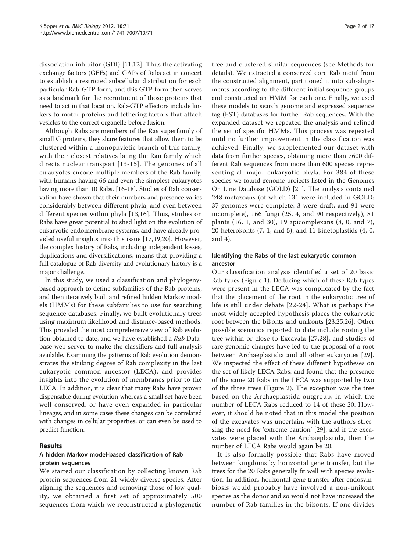dissociation inhibitor (GDI) [[11](#page-14-0)[,12](#page-15-0)]. Thus the activating exchange factors (GEFs) and GAPs of Rabs act in concert to establish a restricted subcellular distribution for each particular Rab-GTP form, and this GTP form then serves as a landmark for the recruitment of those proteins that need to act in that location. Rab-GTP effectors include linkers to motor proteins and tethering factors that attach vesicles to the correct organelle before fusion.

Although Rabs are members of the Ras superfamily of small G proteins, they share features that allow them to be clustered within a monophyletic branch of this family, with their closest relatives being the Ran family which directs nuclear transport [[13-15](#page-15-0)]. The genomes of all eukaryotes encode multiple members of the Rab family, with humans having 66 and even the simplest eukaryotes having more than 10 Rabs. [[16](#page-15-0)-[18](#page-15-0)]. Studies of Rab conservation have shown that their numbers and presence varies considerably between different phyla, and even between different species within phyla [[13,16](#page-15-0)]. Thus, studies on Rabs have great potential to shed light on the evolution of eukaryotic endomembrane systems, and have already provided useful insights into this issue [[17,19,20\]](#page-15-0). However, the complex history of Rabs, including independent losses, duplications and diversifications, means that providing a full catalogue of Rab diversity and evolutionary history is a major challenge.

In this study, we used a classification and phylogenybased approach to define subfamilies of the Rab proteins, and then iteratively built and refined hidden Markov models (HMMs) for these subfamilies to use for searching sequence databases. Finally, we built evolutionary trees using maximum likelihood and distance-based methods. This provided the most comprehensive view of Rab evolution obtained to date, and we have established a Rab Database web server to make the classifiers and full analysis available. Examining the patterns of Rab evolution demonstrates the striking degree of Rab complexity in the last eukaryotic common ancestor (LECA), and provides insights into the evolution of membranes prior to the LECA. In addition, it is clear that many Rabs have proven dispensable during evolution whereas a small set have been well conserved, or have even expanded in particular lineages, and in some cases these changes can be correlated with changes in cellular properties, or can even be used to predict function.

#### Results

# A hidden Markov model-based classification of Rab protein sequences

We started our classification by collecting known Rab protein sequences from 21 widely diverse species. After aligning the sequences and removing those of low quality, we obtained a first set of approximately 500 sequences from which we reconstructed a phylogenetic tree and clustered similar sequences (see Methods for details). We extracted a conserved core Rab motif from the constructed alignment, partitioned it into sub-alignments according to the different initial sequence groups and constructed an HMM for each one. Finally, we used these models to search genome and expressed sequence tag (EST) databases for further Rab sequences. With the expanded dataset we repeated the analysis and refined the set of specific HMMs. This process was repeated until no further improvement in the classification was achieved. Finally, we supplemented our dataset with data from further species, obtaining more than 7600 different Rab sequences from more than 600 species representing all major eukaryotic phyla. For 384 of these species we found genome projects listed in the Genomes On Line Database (GOLD) [\[21](#page-15-0)]. The analysis contained 248 metazoans (of which 131 were included in GOLD: 37 genomes were complete, 3 were draft, and 91 were incomplete), 166 fungi (25, 4, and 90 respectively), 81 plants (16, 1, and 30), 19 apicomplexans (8, 0, and 7), 20 heterokonts (7, 1, and 5), and 11 kinetoplastids (4, 0, and 4).

#### Identifying the Rabs of the last eukaryotic common ancestor

Our classification analysis identified a set of 20 basic Rab types (Figure [1\)](#page-2-0). Deducing which of these Rab types were present in the LECA was complicated by the fact that the placement of the root in the eukaryotic tree of life is still under debate [[22](#page-15-0)-[24](#page-15-0)]. What is perhaps the most widely accepted hypothesis places the eukaryotic root between the bikonts and unikonts [\[23,25,26\]](#page-15-0). Other possible scenarios reported to date include rooting the tree within or close to Excavata [[27](#page-15-0),[28\]](#page-15-0), and studies of rare genomic changes have led to the proposal of a root between Archaeplastidia and all other eukaryotes [[29](#page-15-0)]. We inspected the effect of these different hypotheses on the set of likely LECA Rabs, and found that the presence of the same 20 Rabs in the LECA was supported by two of the three trees (Figure [2\)](#page-3-0). The exception was the tree based on the Archaeplastida outgroup, in which the number of LECA Rabs reduced to 14 of these 20. However, it should be noted that in this model the position of the excavates was uncertain, with the authors stressing the need for 'extreme caution' [\[29](#page-15-0)], and if the excavates were placed with the Archaeplastida, then the number of LECA Rabs would again be 20.

It is also formally possible that Rabs have moved between kingdoms by horizontal gene transfer, but the trees for the 20 Rabs generally fit well with species evolution. In addition, horizontal gene transfer after endosymbiosis would probably have involved a non-unikont species as the donor and so would not have increased the number of Rab families in the bikonts. If one divides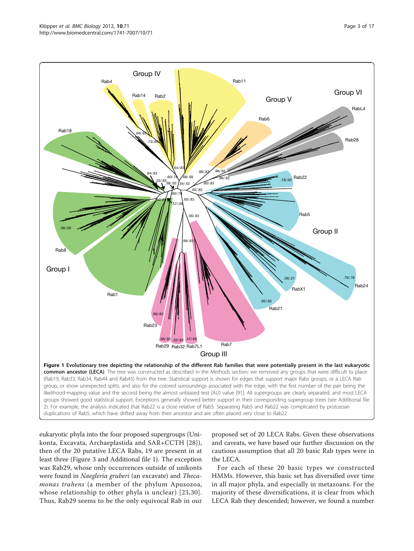<span id="page-2-0"></span>

eukaryotic phyla into the four proposed supergroups (Unikonta, Excavata, Archaeplastida and SAR+CCTH [[28\]](#page-15-0)), then of the 20 putative LECA Rabs, 19 are present in at least three (Figure [3](#page-4-0) and Additional file [1](#page-14-0)). The exception was Rab29, whose only occurrences outside of unikonts were found in Naegleria gruberi (an excavate) and Thecamonas trahens (a member of the phylum Apusozoa, whose relationship to other phyla is unclear) [\[23,30\]](#page-15-0). Thus, Rab29 seems to be the only equivocal Rab in our

proposed set of 20 LECA Rabs. Given these observations and caveats, we have based our further discussion on the cautious assumption that all 20 basic Rab types were in the LECA.

For each of these 20 basic types we constructed HMMs. However, this basic set has diversified over time in all major phyla, and especially in metazoans. For the majority of these diversifications, it is clear from which LECA Rab they descended; however, we found a number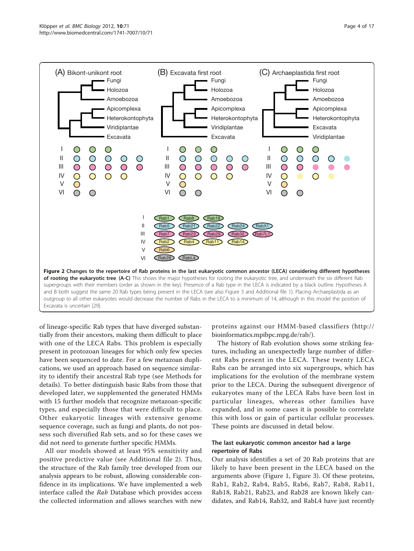<span id="page-3-0"></span>

of lineage-specific Rab types that have diverged substantially from their ancestors, making them difficult to place with one of the LECA Rabs. This problem is especially present in protozoan lineages for which only few species have been sequenced to date. For a few metazoan duplications, we used an approach based on sequence similarity to identify their ancestral Rab type (see Methods for details). To better distinguish basic Rabs from those that developed later, we supplemented the generated HMMs with 15 further models that recognize metazoan-specific types, and especially those that were difficult to place. Other eukaryotic lineages with extensive genome sequence coverage, such as fungi and plants, do not possess such diversified Rab sets, and so for these cases we did not need to generate further specific HMMs.

All our models showed at least 95% sensitivity and positive predictive value (see Additional file [2](#page-14-0)). Thus, the structure of the Rab family tree developed from our analysis appears to be robust, allowing considerable confidence in its implications. We have implemented a web interface called the Rab Database which provides access the collected information and allows searches with new proteins against our HMM-based classifiers ([http://](http://bioinformatics.mpibpc.mpg.de/rab/) [bioinformatics.mpibpc.mpg.de/rab/\)](http://bioinformatics.mpibpc.mpg.de/rab/).

The history of Rab evolution shows some striking features, including an unexpectedly large number of different Rabs present in the LECA. These twenty LECA Rabs can be arranged into six supergroups, which has implications for the evolution of the membrane system prior to the LECA. During the subsequent divergence of eukaryotes many of the LECA Rabs have been lost in particular lineages, whereas other families have expanded, and in some cases it is possible to correlate this with loss or gain of particular cellular processes. These points are discussed in detail below.

#### The last eukaryotic common ancestor had a large repertoire of Rabs

Our analysis identifies a set of 20 Rab proteins that are likely to have been present in the LECA based on the arguments above (Figure [1,](#page-2-0) Figure [3\)](#page-4-0). Of these proteins, Rab1, Rab2, Rab4, Rab5, Rab6, Rab7, Rab8, Rab11, Rab18, Rab21, Rab23, and Rab28 are known likely candidates, and Rab14, Rab32, and RabL4 have just recently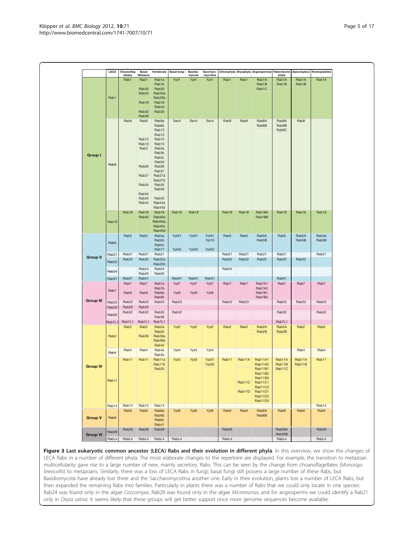<span id="page-4-0"></span>

|                  | LECA                                | Choanoflag<br>ellatea                           | Basal<br>Metazoa                                                 | Vertebrata                                                                              | <b>Basal fungi</b>         | Basidio-<br>mycota | Saccharo-<br>mycotina   |                   |                            | Chlorophyta Bryophyta Angiospermae Heterokonto                                                             | phyta                                             |                             | Apicomplexa Kinetoplastida |
|------------------|-------------------------------------|-------------------------------------------------|------------------------------------------------------------------|-----------------------------------------------------------------------------------------|----------------------------|--------------------|-------------------------|-------------------|----------------------------|------------------------------------------------------------------------------------------------------------|---------------------------------------------------|-----------------------------|----------------------------|
| <b>Group I</b>   | Rab1                                | Rab1                                            | Rab1<br>Rab35<br>Rab33<br>Rab19                                  | Rab1a<br>Rab1b<br>Rab35<br>Rab33a<br>Rab33b<br>Rab19<br>Rab43                           | Ypt1                       | Ypt1               | Ypt1                    | Rab1              | Rab1                       | Rab1A<br>Rab1B<br>Rab1C                                                                                    | Rab1A<br>Rab1B                                    | Rab1A<br>Rab1B              | Rab1A                      |
|                  |                                     | Rab <sub>8</sub>                                | Rab30<br>RabX6<br>Rab8                                           | Rab30<br>Rab <sub>8</sub> a<br>Rab8b<br>Rab13                                           | Sec4                       | Sec4               | Sec4                    | Rab <sub>8</sub>  | Rab <sub>8</sub>           | Rab <sub>8</sub> A<br>Rab8B                                                                                | Rab <sub>8</sub> A<br>Rab8B<br>Rab <sub>8</sub> C | Rab <sub>8</sub>            |                            |
|                  | Rab <sub>8</sub>                    |                                                 | Rab15<br>Rab10<br>Rab <sub>3</sub><br>Rab26<br>Rab <sub>27</sub> | Rab12<br>Rab15<br>Rab10<br>Rab3a<br>Rab3b<br>Rab3c<br>Rab3d<br>Rab26<br>Rab37<br>Rab27a |                            |                    |                         |                   |                            |                                                                                                            |                                                   |                             |                            |
|                  |                                     |                                                 | Rab <sub>34</sub><br>RabX4<br>Rab45<br>Rab44                     | Rab27b<br>Rab34<br>Rab36<br>Rab45<br>Rab44a<br>Rab44b                                   |                            |                    |                         |                   |                            |                                                                                                            |                                                   |                             |                            |
|                  | Rab18                               | Rab18                                           | Rab18<br>Rab40                                                   | Rab18<br>Rab40a<br>Rab40aL<br>Rab40c<br>Rab40d                                          | Rab18                      | Rab18              |                         | Rab18             | Rab18                      | Rab18A<br>Rab18B                                                                                           | Rab18                                             | Rab18                       | Rab18                      |
| <b>Group II</b>  | Rab <sub>5</sub>                    | Rab <sub>5</sub>                                | Rab <sub>5</sub>                                                 | Rab <sub>5</sub> a<br>Rab5b<br>Rab5c<br>Rab17                                           | Ypt51<br>Ypt52             | Ypt51<br>Ypt52     | Ypt51<br>Ypt10<br>Ypt52 | Rab <sub>5</sub>  | Rab <sub>5</sub>           | Rab <sub>5</sub> A<br>Rab <sub>5</sub> B                                                                   | Rab <sub>5</sub>                                  | Rab <sub>5</sub> A<br>Rab5B | Rab5A<br>Rab5B             |
|                  | Rab21<br>Rab22                      | Rab21<br>Rab <sub>22</sub>                      | Rab21<br>Rab <sub>22</sub>                                       | Rab21<br>Rab <sub>22a</sub><br>Rab22b                                                   |                            |                    |                         | Rab21<br>Rab22    | Rab21<br>Rab22             | Rab21<br>Rab <sub>22</sub>                                                                                 | Rab <sub>21</sub><br>Rab <sub>22</sub>            | Rab22                       | Rab21                      |
|                  | Rab <sub>24</sub><br>RabX1          | RabX1                                           | Rab <sub>24</sub><br>Rab20<br>RabX1                              | Rab <sub>24</sub><br>Rab20                                                              | RabX1                      | RabX1              | RabX1                   | Rab <sub>24</sub> |                            |                                                                                                            | RabX1                                             |                             |                            |
| <b>Group III</b> | Rab7                                | Rab7<br>Rab9                                    | Rab7<br>Rab9                                                     | Rab7a<br>Rab7b<br>Rab9a<br>Rab9b                                                        | Ypt7<br>Ypt9               | Ypt7<br>Ypt9       | Ypt7<br>Ypt9            | Rab7              | Rab7                       | Rab7A1<br>Rab7A2<br>Rab7B1<br>Rab7B2                                                                       | Rab7                                              | Rab7                        | Rab7                       |
|                  | Rab <sub>23</sub><br>Rab29<br>Rab32 | Rab <sub>23</sub><br>Rab <sub>29</sub><br>Rab32 | Rab <sub>23</sub><br>Rab29<br>Rab32                              | Rab <sub>23</sub><br>Rab32                                                              | Rab <sub>23</sub><br>Rab32 |                    |                         | Rab <sub>23</sub> | Rab <sub>23</sub>          |                                                                                                            | Rab <sub>23</sub><br>Rab32                        | Rab <sub>23</sub>           | Rab <sub>23</sub><br>Rab32 |
|                  | Rab7L1                              | Rab7L1                                          | Rab7L1                                                           | Rab38<br>Rab7L1                                                                         |                            |                    |                         |                   |                            |                                                                                                            | Rab7L1                                            |                             |                            |
| <b>Group IV</b>  | Rab <sub>2</sub>                    | Rab <sub>2</sub>                                | Rab <sub>2</sub><br>Rab39                                        | Rab <sub>2</sub> a<br>Rab <sub>2</sub> b<br>Rab39a<br>Rab39b<br>Rab42                   | Ypt <sub>2</sub>           | Ypt <sub>2</sub>   | Ypt <sub>2</sub>        | Rab <sub>2</sub>  | Rab <sub>2</sub>           | Rab <sub>2</sub> A<br>Rab <sub>2</sub> B                                                                   | Rab <sub>2</sub> A<br>Rab <sub>2</sub> B          | Rab <sub>2</sub>            | Rab <sub>2</sub>           |
|                  | Rab4                                | Rab4                                            | Rab4                                                             | Rab4a<br>Rab4b                                                                          | Ypt4                       | Ypt4               | Ypt4                    |                   |                            |                                                                                                            |                                                   | Rab4                        | Rab4                       |
|                  | Rab11                               | Rab11                                           | Rab11                                                            | Rab11a<br>Rab11b<br>Rab <sub>25</sub>                                                   | Ypt3                       | Ypt3               | Ypt31<br>Ypt32          | Rab11             | Rab11A<br>Rab11C<br>Rab11D | Rab11A1<br>Rab11A2<br>Rab11B1<br>Rab11B2<br>Rab11B3<br>Rab11C1<br>Rab11C2<br>Rab11D1<br>Rab11D2<br>Rab11D3 | Rab11A<br>Rab11B<br>Rab11C                        | Rab11A<br>Rab11B            | Rab11                      |
|                  | Rab14                               | Rab14<br>Rab <sub>6</sub>                       | Rab14<br>Rab <sub>6</sub>                                        | Rab14<br>Rab <sub>6</sub> a                                                             | Ypt6                       | Ypt6               | Ypt6                    | Rab6              | Rab <sub>6</sub>           | Rab <sub>6</sub> A                                                                                         | Rab <sub>6</sub>                                  | Rab6                        | Rab14<br>Rab6              |
| <b>Group V</b>   | Rab6                                |                                                 |                                                                  | Rab <sub>6</sub> b<br>Rab6c<br>Rab41                                                    |                            |                    |                         |                   |                            | Rab6B                                                                                                      |                                                   |                             |                            |
| <b>Group VI</b>  | Rab28                               | Rab <sub>28</sub>                               | Rab <sub>28</sub>                                                | Rab28                                                                                   |                            |                    |                         | Rab28             |                            |                                                                                                            | Rab28A<br>Rab28B                                  |                             | Rab28                      |
|                  | RabL4                               | RabL4                                           | RabL4                                                            | RabL4                                                                                   | RabL4                      |                    |                         | RabL4             |                            |                                                                                                            | RabL4                                             |                             | RabL4                      |

Figure 3 Last eukaryotic common ancestor (LECA) Rabs and their evolution in different phyla. In this overview, we show the changes of LECA Rabs in a number of different phyla. The most elaborate changes to the repertoire are displayed. For example, the transition to metazoan multicellularity gave rise to a large number of new, mainly secretory, Rabs. This can be seen by the change from choanoflagellates (Monosiga brevicollis) to metazoans. Similarly, there was a loss of LECA Rabs in fungi; basal fungi still possess a large number of these Rabs, but Basidiomycota have already lost three and the Saccharomycotina another one. Early in their evolution, plants lost a number of LECA Rabs, but then expanded the remaining Rabs into families. Particularly in plants there was a number of Rabs that we could only locate in one species: Rab24 was found only in the algae Coccomyxa, Rab28 was found only in the algae Micromonas, and for angiosperms we could identify a Rab21 only in Oryza sativa. It seems likely that these groups will get better support once more genome sequences become available.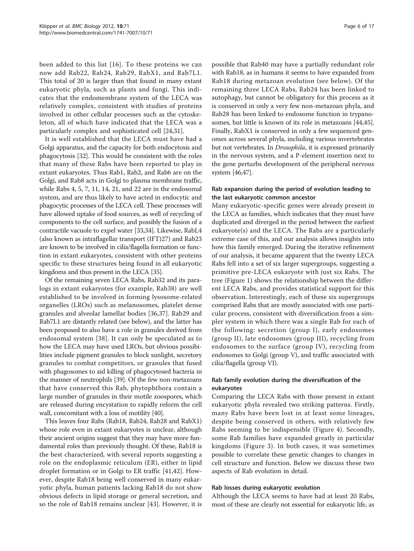been added to this list [[16](#page-15-0)]. To these proteins we can now add Rab22, Rab24, Rab29, RabX1, and Rab7L1. This total of 20 is larger than that found in many extant eukaryotic phyla, such as plants and fungi. This indicates that the endomembrane system of the LECA was relatively complex, consistent with studies of proteins involved in other cellular processes such as the cytoskeleton, all of which have indicated that the LECA was a particularly complex and sophisticated cell [\[24,31\]](#page-15-0).

It is well established that the LECA must have had a Golgi apparatus, and the capacity for both endocytosis and phagocytosis [[32\]](#page-15-0). This would be consistent with the roles that many of these Rabs have been reported to play in extant eukaryotes. Thus Rab1, Rab2, and Rab6 are on the Golgi, and Rab8 acts in Golgi to plasma membrane traffic, while Rabs 4, 5, 7, 11, 14, 21, and 22 are in the endosomal system, and are thus likely to have acted in endocytic and phagocytic processes of the LECA cell. These processes will have allowed uptake of food sources, as well of recycling of components to the cell surface, and possibly the fusion of a contractile vacuole to expel water [[33,34](#page-15-0)]. Likewise, RabL4 (also known as intraflagellar transport (IFT)27) and Rab23 are known to be involved in cilia/flagella formation or function in extant eukaryotes, consistent with other proteins specific to these structures being found in all eukaryotic kingdoms and thus present in the LECA [\[35\]](#page-15-0).

Of the remaining seven LECA Rabs, Rab32 and its paralogs in extant eukaryotes (for example, Rab38) are well established to be involved in forming lysosome-related organelles (LROs) such as melanosomes, platelet dense granules and alveolar lamellar bodies [\[36](#page-15-0),[37](#page-15-0)]. Rab29 and Rab7L1 are distantly related (see below), and the latter has been proposed to also have a role in granules derived from endosomal system [[38](#page-15-0)]. It can only be speculated as to how the LECA may have used LROs, but obvious possibilities include pigment granules to block sunlight, secretory granules to combat competitors, or granules that fused with phagosomes to aid killing of phagocytosed bacteria in the manner of neutrophils [\[39\]](#page-15-0). Of the few non-metazoans that have conserved this Rab, phytophthora contain a large number of granules in their motile zoospores, which are released during encystation to rapidly reform the cell wall, concomitant with a loss of motility [[40](#page-15-0)].

This leaves four Rabs (Rab18, Rab24, Rab28 and RabX1) whose role even in extant eukaryotes is unclear, although their ancient origins suggest that they may have more fundamental roles than previously thought. Of these, Rab18 is the best characterized, with several reports suggesting a role on the endoplasmic reticulum (ER), either in lipid droplet formation or in Golgi to ER traffic [\[41,42](#page-15-0)]. However, despite Rab18 being well conserved in many eukaryotic phyla, human patients lacking Rab18 do not show obvious defects in lipid storage or general secretion, and so the role of Rab18 remains unclear [\[43](#page-15-0)]. However, it is

possible that Rab40 may have a partially redundant role with Rab18, as in humans it seems to have expanded from Rab18 during metazoan evolution (see below). Of the remaining three LECA Rabs, Rab24 has been linked to autophagy, but cannot be obligatory for this process as it is conserved in only a very few non-metazoan phyla, and Rab28 has been linked to endosome function in trypanosomes, but little is known of its role in metazoans [[44,45](#page-15-0)]. Finally, RabX1 is conserved in only a few sequenced genomes across several phyla, including various invertebrates but not vertebrates. In Drosophila, it is expressed primarily in the nervous system, and a P-element insertion next to the gene perturbs development of the peripheral nervous system [\[46,47\]](#page-15-0).

#### Rab expansion during the period of evolution leading to the last eukaryotic common ancestor

Many eukaryotic-specific genes were already present in the LECA as families, which indicates that they must have duplicated and diverged in the period between the earliest eukaryote(s) and the LECA. The Rabs are a particularly extreme case of this, and our analysis allows insights into how this family emerged. During the iterative refinement of our analysis, it became apparent that the twenty LECA Rabs fell into a set of six larger supergroups, suggesting a primitive pre-LECA eukaryote with just six Rabs. The tree (Figure [1](#page-2-0)) shows the relationship between the different LECA Rabs, and provides statistical support for this observation. Interestingly, each of these six supergroups comprised Rabs that are mostly associated with one particular process, consistent with diversification from a simpler system in which there was a single Rab for each of the following: secretion (group I), early endosomes (group II), late endosomes (group III), recycling from endosomes to the surface (group IV), recycling from endosomes to Golgi (group V), and traffic associated with cilia/flagella (group VI).

# Rab family evolution during the diversification of the eukaryotes

Comparing the LECA Rabs with those present in extant eukaryotic phyla revealed two striking patterns. Firstly, many Rabs have been lost in at least some lineages, despite being conserved in others, with relatively few Rabs seeming to be indispensible (Figure [4](#page-6-0)). Secondly, some Rab families have expanded greatly in particular kingdoms (Figure [3\)](#page-4-0). In both cases, it was sometimes possible to correlate these genetic changes to changes in cell structure and function. Below we discuss these two aspects of Rab evolution in detail.

#### Rab losses during eukaryotic evolution

Although the LECA seems to have had at least 20 Rabs, most of these are clearly not essential for eukaryotic life, as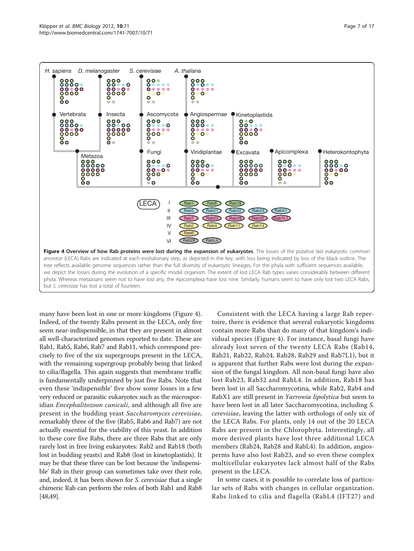<span id="page-6-0"></span>

many have been lost in one or more kingdoms (Figure 4). Indeed, of the twenty Rabs present in the LECA, only five seem near-indispensible, in that they are present in almost all well-characterized genomes reported to date. These are Rab1, Rab5, Rab6, Rab7 and Rab11, which correspond precisely to five of the six supergroups present in the LECA, with the remaining supergroup probably being that linked to cilia/flagella. This again suggests that membrane traffic is fundamentally underpinned by just five Rabs. Note that even these 'indispensible' five show some losses in a few very reduced or parasitic eukaryotes such as the microsporidian *Encephalitozoon cuniculi*, and although all five are present in the budding yeast Saccharomyces cerevisiae, remarkably three of the five (Rab5, Rab6 and Rab7) are not actually essential for the viability of this yeast. In addition to these core five Rabs, there are three Rabs that are only rarely lost in free living eukaryotes: Rab2 and Rab18 (both lost in budding yeasts) and Rab8 (lost in kinetoplastids). It may be that these three can be lost because the 'indispensible' Rab in their group can sometimes take over their role, and, indeed, it has been shown for S. cerevisiae that a single chimeric Rab can perform the roles of both Rab1 and Rab8 [[48,49\]](#page-15-0).

Consistent with the LECA having a large Rab repertoire, there is evidence that several eukaryotic kingdoms contain more Rabs than do many of that kingdom's individual species (Figure 4). For instance, basal fungi have already lost seven of the twenty LECA Rabs (Rab14, Rab21, Rab22, Rab24, Rab28, Rab29 and Rab7L1), but it is apparent that further Rabs were lost during the expansion of the fungal kingdom. All non-basal fungi have also lost Rab23, Rab32 and RabL4. In addition, Rab18 has been lost in all Saccharomycotina, while Rab2, Rab4 and RabX1 are still present in Yarrowia lipolytica but seem to have been lost in all later Saccharomycotina, including S. cerevisiae, leaving the latter with orthologs of only six of the LECA Rabs. For plants, only 14 out of the 20 LECA Rabs are present in the Chlorophyta. Interestingly, all more derived plants have lost three additional LECA members (Rab24, Rab28 and RabL4). In addition, angiosperms have also lost Rab23, and so even these complex multicellular eukaryotes lack almost half of the Rabs present in the LECA.

In some cases, it is possible to correlate loss of particular sets of Rabs with changes in cellular organization. Rabs linked to cilia and flagella (RabL4 (IFT27) and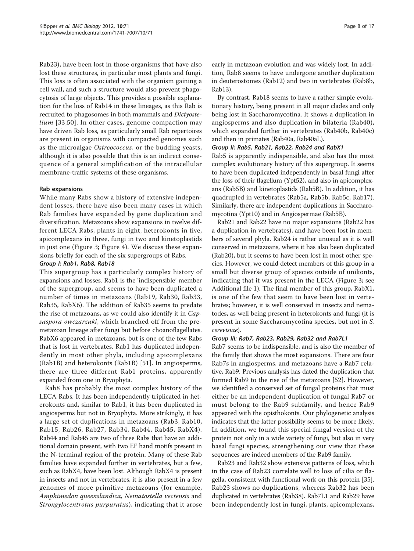Rab23), have been lost in those organisms that have also lost these structures, in particular most plants and fungi. This loss is often associated with the organism gaining a cell wall, and such a structure would also prevent phagocytosis of large objects. This provides a possible explanation for the loss of Rab14 in these lineages, as this Rab is recruited to phagosomes in both mammals and Dictyoste-lium [\[33,50\]](#page-15-0). In other cases, genome compaction may have driven Rab loss, as particularly small Rab repertoires are present in organisms with compacted genomes such as the microalgae Ostreococcus, or the budding yeasts, although it is also possible that this is an indirect consequence of a general simplification of the intracellular membrane-traffic systems of these organisms.

#### Rab expansions

While many Rabs show a history of extensive independent losses, there have also been many cases in which Rab families have expanded by gene duplication and diversification. Metazoans show expansions in twelve different LECA Rabs, plants in eight, heterokonts in five, apicomplexans in three, fungi in two and kinetoplastids in just one (Figure [3;](#page-4-0) Figure [4](#page-6-0)). We discuss these expansions briefly for each of the six supergroups of Rabs.

#### Group I: Rab1, Rab8, Rab18

This supergroup has a particularly complex history of expansions and losses. Rab1 is the 'indispensible' member of the supergroup, and seems to have been duplicated a number of times in metazoans (Rab19, Rab30, Rab33, Rab35, RabX6). The addition of Rab35 seems to predate the rise of metazoans, as we could also identify it in Capsaspora owczarzaki, which branched off from the premetazoan lineage after fungi but before choanoflagellates. RabX6 appeared in metazoans, but is one of the few Rabs that is lost in vertebrates. Rab1 has duplicated independently in most other phyla, including apicomplexans (Rab1B) and heterokonts (Rab1B) [[51\]](#page-15-0). In angiosperms, there are three different Rab1 proteins, apparently expanded from one in Bryophyta.

Rab8 has probably the most complex history of the LECA Rabs. It has been independently triplicated in heterokonts and, similar to Rab1, it has been duplicated in angiosperms but not in Bryophyta. More strikingly, it has a large set of duplications in metazoans (Rab3, Rab10, Rab15, Rab26, Rab27, Rab34, Rab44, Rab45, RabX4). Rab44 and Rab45 are two of three Rabs that have an additional domain present, with two EF hand motifs present in the N-terminal region of the protein. Many of these Rab families have expanded further in vertebrates, but a few, such as RabX4, have been lost. Although RabX4 is present in insects and not in vertebrates, it is also present in a few genomes of more primitive metazoans (for example, Amphimedon queenslandica, Nematostella vectensis and Strongylocentrotus purpuratus), indicating that it arose

early in metazoan evolution and was widely lost. In addition, Rab8 seems to have undergone another duplication in deuterostomes (Rab12) and two in vertebrates (Rab8b, Rab13).

By contrast, Rab18 seems to have a rather simple evolutionary history, being present in all major clades and only being lost in Saccharomycotina. It shows a duplication in angiosperms and also duplication in bilateria (Rab40), which expanded further in vertebrates (Rab40b, Rab40c) and then in primates (Rab40a, Rab40aL).

#### Group II: Rab5, Rab21, Rab22, Rab24 and RabX1

Rab5 is apparently indispensible, and also has the most complex evolutionary history of this supergroup. It seems to have been duplicated independently in basal fungi after the loss of their flagellum (Ypt52), and also in apicomplexans (Rab5B) and kinetoplastids (Rab5B). In addition, it has quadrupled in vertebrates (Rab5a, Rab5b, Rab5c, Rab17). Similarly, there are independent duplications in Saccharomycotina (Ypt10) and in Angiospermae (Rab5B).

Rab21 and Rab22 have no major expansions (Rab22 has a duplication in vertebrates), and have been lost in members of several phyla. Rab24 is rather unusual as it is well conserved in metazoans, where it has also been duplicated (Rab20), but it seems to have been lost in most other species. However, we could detect members of this group in a small but diverse group of species outside of unikonts, indicating that it was present in the LECA (Figure [3;](#page-4-0) see Additional file [1\)](#page-14-0). The final member of this group, RabX1, is one of the few that seem to have been lost in vertebrates; however, it is well conserved in insects and nematodes, as well being present in heterokonts and fungi (it is present in some Saccharomycotina species, but not in S. cerevisiae).

#### Group III: Rab7, Rab23, Rab29, Rab32 and Rab7L1

Rab7 seems to be indispensible, and is also the member of the family that shows the most expansions. There are four Rab7s in angiosperms, and metazoans have a Rab7 relative, Rab9. Previous analysis has dated the duplication that formed Rab9 to the rise of the metazoans [[52](#page-15-0)]. However, we identified a conserved set of fungal proteins that must either be an independent duplication of fungal Rab7 or must belong to the Rab9 subfamily, and hence Rab9 appeared with the opisthokonts. Our phylogenetic analysis indicates that the latter possibility seems to be more likely. In addition, we found this special fungal version of the protein not only in a wide variety of fungi, but also in very basal fungi species, strengthening our view that these sequences are indeed members of the Rab9 family.

Rab23 and Rab32 show extensive patterns of loss, which in the case of Rab23 correlate well to loss of cilia or flagella, consistent with functional work on this protein [[35](#page-15-0)]. Rab23 shows no duplications, whereas Rab32 has been duplicated in vertebrates (Rab38). Rab7L1 and Rab29 have been independently lost in fungi, plants, apicomplexans,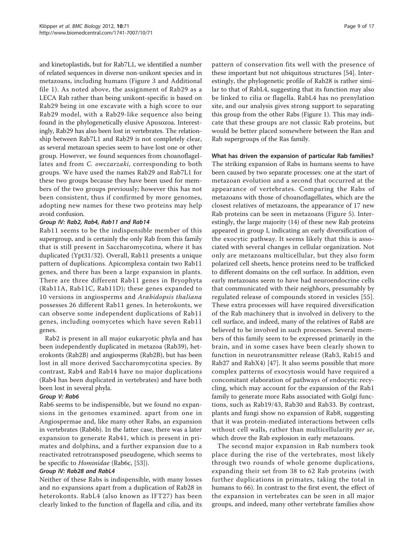and kinetoplastids, but for Rab7L1, we identified a number of related sequences in diverse non-unikont species and in metazoans, including humans (Figure [3](#page-4-0) and Additional file [1\)](#page-14-0). As noted above, the assignment of Rab29 as a LECA Rab rather than being unikont-specific is based on Rab29 being in one excavate with a high score to our Rab29 model, with a Rab29-like sequence also being found in the phylogenetically elusive Apusozoa. Interestingly, Rab29 has also been lost in vertebrates. The relationship between Rab7L1 and Rab29 is not completely clear, as several metazoan species seem to have lost one or other group. However, we found sequences from choanoflagellates and from C. owczarzaki, corresponding to both groups. We have used the names Rab29 and Rab7L1 for these two groups because they have been used for members of the two groups previously; however this has not been consistent, thus if confirmed by more genomes, adopting new names for these two proteins may help avoid confusion.

#### Group IV: Rab2, Rab4, Rab11 and Rab14

Rab11 seems to be the indispensible member of this supergroup, and is certainly the only Rab from this family that is still present in Saccharomycotina, where it has duplicated (Ypt31/32). Overall, Rab11 presents a unique pattern of duplications. Apicomplexa contain two Rab11 genes, and there has been a large expansion in plants. There are three different Rab11 genes in Bryophyta (Rab11A, Rab11C, Rab11D); these genes expanded to 10 versions in angiosperms and Arabidopsis thaliana possesses 26 different Rab11 genes. In heterokonts, we can observe some independent duplications of Rab11 genes, including oomycetes which have seven Rab11 genes.

Rab2 is present in all major eukaryotic phyla and has been independently duplicated in metazoa (Rab39), heterokonts (Rab2B) and angiosperms (Rab2B), but has been lost in all more derived Saccharomycotina species. By contrast, Rab4 and Rab14 have no major duplications (Rab4 has been duplicated in vertebrates) and have both been lost in several phyla.

#### Group V: Rab6

Rab6 seems to be indispensible, but we found no expansions in the genomes examined. apart from one in Angiospermae and, like many other Rabs, an expansion in vertebrates (Rab6b). In the latter case, there was a later expansion to generate Rab41, which is present in primates and dolphins, and a further expansion due to a reactivated retrotransposed pseudogene, which seems to be specific to *Hominidae* (Rab6c, [\[53](#page-15-0)]).

#### Group IV: Rab28 and RabL4

Neither of these Rabs is indispensible, with many losses and no expansions apart from a duplication of Rab28 in heterokonts. RabL4 (also known as IFT27) has been clearly linked to the function of flagella and cilia, and its

pattern of conservation fits well with the presence of these important but not ubiquitous structures [\[54](#page-15-0)]. Interestingly, the phylogenetic profile of Rab28 is rather similar to that of RabL4, suggesting that its function may also be linked to cilia or flagella. RabL4 has no prenylation site, and our analysis gives strong support to separating this group from the other Rabs (Figure [1](#page-2-0)). This may indicate that these groups are not classic Rab proteins, but would be better placed somewhere between the Ran and Rab supergroups of the Ras family.

# What has driven the expansion of particular Rab families? The striking expansion of Rabs in humans seems to have

been caused by two separate processes: one at the start of metazoan evolution and a second that occurred at the appearance of vertebrates. Comparing the Rabs of metazoans with those of choanoflagellates, which are the closest relatives of metazoans, the appearance of 17 new Rab proteins can be seen in metazoans (Figure [5](#page-9-0)). Interestingly, the large majority (14) of these new Rab proteins appeared in group I, indicating an early diversification of the exocytic pathway. It seems likely that this is associated with several changes in cellular organization. Not only are metazoans multicellular, but they also form polarized cell sheets, hence proteins need to be trafficked to different domains on the cell surface. In addition, even early metazoans seem to have had neuroendocrine cells that communicated with their neighbors, presumably by regulated release of compounds stored in vesicles [[55](#page-15-0)]. These extra processes will have required diversification of the Rab machinery that is involved in delivery to the cell surface, and indeed, many of the relatives of Rab8 are believed to be involved in such processes. Several members of this family seem to be expressed primarily in the brain, and in some cases have been clearly shown to function in neurotransmitter release (Rab3, Rab15 and Rab27 and RabX4) [[47\]](#page-15-0). It also seems possible that more complex patterns of exocytosis would have required a concomitant elaboration of pathways of endocytic recycling, which may account for the expansion of the Rab1 family to generate more Rabs associated with Golgi functions, such as Rab19/43, Rab30 and Rab33. By contrast, plants and fungi show no expansion of Rab8, suggesting that it was protein-mediated interactions between cells without cell walls, rather than multicellularity per se, which drove the Rab explosion in early metazoans.

The second major expansion in Rab numbers took place during the rise of the vertebrates, most likely through two rounds of whole genome duplications, expanding their set from 38 to 62 Rab proteins (with further duplications in primates, taking the total in humans to 66). In contrast to the first event, the effect of the expansion in vertebrates can be seen in all major groups, and indeed, many other vertebrate families show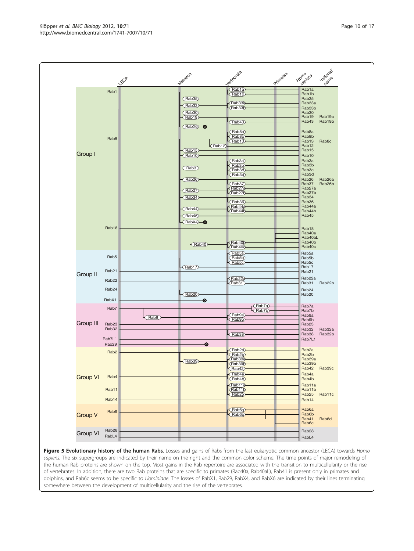somewhere between the development of multicellularity and the rise of the vertebrates.

RabL4 Rah<sub>28</sub> RabL4 Rab<sub>28</sub> Rab6 **Procession and Contract Contract Contract Contract Contract Contract Contract Contract Contract Contract Contract Contract Contract Contract Contract Contract Contract Contract Contract Contract Contract Contract Con** Rab<sub>6</sub>a<br>Rab6b Rab41 Rab6d Rab<sub>6</sub>c  $R$ ab<sub>6</sub>k Rab<sub>6</sub> Rah<sub>29</sub> Rab<sub>2</sub> Rab11 Rab4 Rab14 Rab<sub>2</sub>b Rab<sub>2a</sub> Rab39b Rah39a Rab4b Rah4a Rab11b<br>Rab25 Rab11a Rab11c Rab<sub>14</sub> Rab42 Rab39d (Rab39) Rab<sub>11</sub> Rab<sub>11</sub> Rab39 Rah39 Rab<sub>2a</sub> Rab<sub>2</sub> Rab4b  $Bah4z$ Rab<sub>25</sub> Group VI Group V **Group VI** Rab<sub>4</sub> Figure 5 Evolutionary history of the human Rabs. Losses and gains of Rabs from the last eukaryotic common ancestor (LECA) towards Homo sapiens. The six supergroups are indicated by their name on the right and the common color scheme. The time points of major remodeling of the human Rab proteins are shown on the top. Most gains in the Rab repertoire are associated with the transition to multicellularity or the rise of vertebrates. In addition, there are two Rab proteins that are specific to primates (Rab40a, Rab40aL), Rab41 is present only in primates and dolphins, and Rab6c seems to be specific to Hominidae. The losses of RabX1, Rab29, RabX4, and RabX6 are indicated by their lines terminating

<span id="page-9-0"></span>Klöpper et al. BMC Biology 2012, 10:71 http://www.biomedcentral.com/1741-7007/10/71

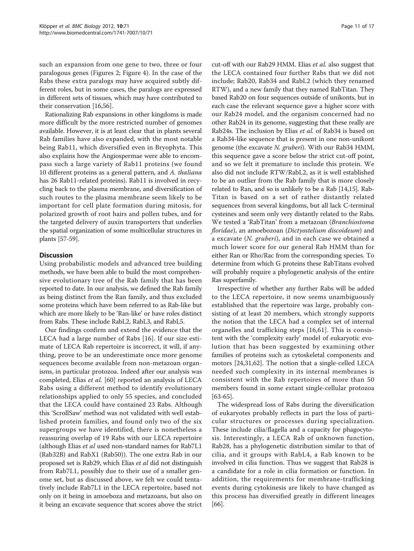such an expansion from one gene to two, three or four paralogous genes (Figures [2](#page-3-0); Figure [4\)](#page-6-0). In the case of the Rabs these extra paralogs may have acquired subtly different roles, but in some cases, the paralogs are expressed in different sets of tissues, which may have contributed to their conservation [[16,56\]](#page-15-0).

Rationalizing Rab expansions in other kingdoms is made more difficult by the more restricted number of genomes available. However, it is at least clear that in plants several Rab families have also expanded, with the most notable being Rab11, which diversified even in Bryophyta. This also explains how the Angiospermae were able to encompass such a large variety of Rab11 proteins (we found 10 different proteins as a general pattern, and A. thaliana has 26 Rab11-related proteins). Rab11 is involved in recycling back to the plasma membrane, and diversification of such routes to the plasma membrane seem likely to be important for cell plate formation during mitosis, for polarized growth of root hairs and pollen tubes, and for the targeted delivery of auxin transporters that underlies the spatial organization of some multicellular structures in plants [\[57-59\]](#page-15-0).

#### **Discussion**

Using probabilistic models and advanced tree building methods, we have been able to build the most comprehensive evolutionary tree of the Rab family that has been reported to date. In our analysis, we defined the Rab family as being distinct from the Ran family, and thus excluded some proteins which have been referred to as Rab-like but which are more likely to be 'Ran-like' or have roles distinct from Rabs. These include RabL2, RabL3, and RabL5.

Our findings confirm and extend the evidence that the LECA had a large number of Rabs [[16](#page-15-0)]. If our size estimate of LECA Rab repertoire is incorrect, it will, if anything, prove to be an underestimate once more genome sequences become available from non-metazoan organisms, in particular protozoa. Indeed after our analysis was completed, Elias et al. [\[60](#page-15-0)] reported an analysis of LECA Rabs using a different method to identify evolutionary relationships applied to only 55 species, and concluded that the LECA could have contained 23 Rabs. Although this 'ScrollSaw' method was not validated with well established protein families, and found only two of the six supergroups we have identified, there is nonetheless a reassuring overlap of 19 Rabs with our LECA repertoire (although Elias et al used non-standard names for Rab7L1 (Rab32B) and RabX1 (Rab50)). The one extra Rab in our proposed set is Rab29, which Elias et al did not distinguish from Rab7L1, possibly due to their use of a smaller genome set, but as discussed above, we felt we could tentatively include Rab7L1 in the LECA repertoire, based not only on it being in amoeboza and metazoans, but also on it being an excavate sequence that scores above the strict

cut-off with our Rab29 HMM. Elias et al. also suggest that the LECA contained four further Rabs that we did not include; Rab20, Rab34 and RabL2 (which they renamed RTW), and a new family that they named RabTitan. They based Rab20 on four sequences outside of unikonts, but in each case the relevant sequence gave a higher score with our Rab24 model, and the organism concerned had no other Rab24 in its genome, suggesting that these really are Rab24s. The inclusion by Elias et al. of Rab34 is based on a Rab34-like sequence that is present in one non-unikont genome (the excavate *N. gruberi*). With our Rab34 HMM, this sequence gave a score below the strict cut-off point, and so we felt it premature to include this protein. We also did not include RTW/RabL2, as it is well established to be an outlier from the Rab family that is more closely related to Ran, and so is unlikely to be a Rab [\[14,15\]](#page-15-0). Rab-Titan is based on a set of rather distantly related sequences from several kingdoms, but all lack C-terminal cysteines and seem only very distantly related to the Rabs. We tested a 'RabTitan' from a metazoan (Branchiostoma floridae), an amoebozoan (Dictyostelium discoideum) and a excavate (N. gruberi), and in each case we obtained a much lower score for our general Rab HMM than for either Ran or Rho/Rac from the corresponding species. To determine from which G proteins these RabTitans evolved will probably require a phylogenetic analysis of the entire Ras superfamily.

Irrespective of whether any further Rabs will be added to the LECA repertoire, it now seems unambiguously established that the repertoire was large, probably consisting of at least 20 members, which strongly supports the notion that the LECA had a complex set of internal organelles and trafficking steps [[16,61](#page-15-0)]. This is consistent with the 'complexity early' model of eukaryotic evolution that has been suggested by examining other families of proteins such as cytoskeletal components and motors [\[24,31,62](#page-15-0)]. The notion that a single-celled LECA needed such complexity in its internal membranes is consistent with the Rab repertoires of more than 50 members found in some extant single-cellular protozoa [[63-65\]](#page-16-0).

The widespread loss of Rabs during the diversification of eukaryotes probably reflects in part the loss of particular structures or processes during specialization. These include cilia/flagella and a capacity for phagocytosis. Interestingly, a LECA Rab of unknown function, Rab28, has a phylogenetic distribution similar to that of cilia, and it groups with RabL4, a Rab known to be involved in cilia function. Thus we suggest that Rab28 is a candidate for a role in cilia formation or function. In addition, the requirements for membrane-trafficking events during cytokinesis are likely to have changed as this process has diversified greatly in different lineages [[66\]](#page-16-0).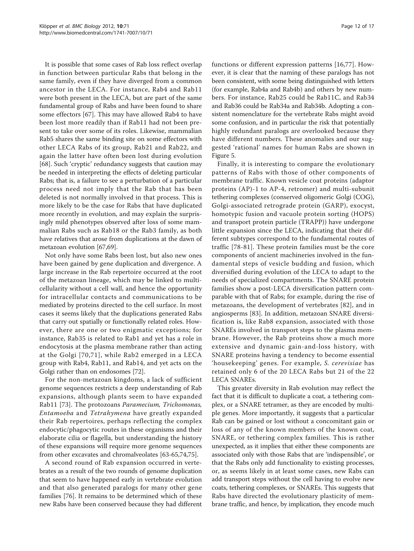It is possible that some cases of Rab loss reflect overlap in function between particular Rabs that belong in the same family, even if they have diverged from a common ancestor in the LECA. For instance, Rab4 and Rab11 were both present in the LECA, but are part of the same fundamental group of Rabs and have been found to share some effectors [\[67](#page-16-0)]. This may have allowed Rab4 to have been lost more readily than if Rab11 had not been present to take over some of its roles. Likewise, mammalian Rab5 shares the same binding site on some effectors with other LECA Rabs of its group, Rab21 and Rab22, and again the latter have often been lost during evolution [[68\]](#page-16-0). Such 'cryptic' redundancy suggests that caution may be needed in interpreting the effects of deleting particular Rabs; that is, a failure to see a perturbation of a particular process need not imply that the Rab that has been deleted is not normally involved in that process. This is more likely to be the case for Rabs that have duplicated more recently in evolution, and may explain the surprisingly mild phenotypes observed after loss of some mammalian Rabs such as Rab18 or the Rab3 family, as both have relatives that arose from duplications at the dawn of metazoan evolution [\[67,69](#page-16-0)].

Not only have some Rabs been lost, but also new ones have been gained by gene duplication and divergence. A large increase in the Rab repertoire occurred at the root of the metazoan lineage, which may be linked to multicellularity without a cell wall, and hence the opportunity for intracellular contacts and communications to be mediated by proteins directed to the cell surface. In most cases it seems likely that the duplications generated Rabs that carry out spatially or functionally related roles. However, there are one or two enigmatic exceptions; for instance, Rab35 is related to Rab1 and yet has a role in endocytosis at the plasma membrane rather than acting at the Golgi [[70,71](#page-16-0)], while Rab2 emerged in a LECA group with Rab4, Rab11, and Rab14, and yet acts on the Golgi rather than on endosomes [[72\]](#page-16-0).

For the non-metazoan kingdoms, a lack of sufficient genome sequences restricts a deep understanding of Rab expansions, although plants seem to have expanded Rab11 [[73\]](#page-16-0). The protozoans Paramecium, Trichomonas, Entamoeba and Tetrahymena have greatly expanded their Rab repertoires, perhaps reflecting the complex endocytic/phagocytic routes in these organisms and their elaborate cilia or flagella, but understanding the history of these expansions will require more genome sequences from other excavates and chromalveolates [\[63](#page-16-0)-[65](#page-16-0),[74,75](#page-16-0)].

A second round of Rab expansion occurred in vertebrates as a result of the two rounds of genome duplication that seem to have happened early in vertebrate evolution and that also generated paralogs for many other gene families [\[76](#page-16-0)]. It remains to be determined which of these new Rabs have been conserved because they had different functions or different expression patterns [\[16](#page-15-0),[77\]](#page-16-0). However, it is clear that the naming of these paralogs has not been consistent, with some being distinguished with letters (for example, Rab4a and Rab4b) and others by new numbers. For instance, Rab25 could be Rab11C, and Rab34 and Rab36 could be Rab34a and Rab34b. Adopting a consistent nomenclature for the vertebrate Rabs might avoid some confusion, and in particular the risk that potentially highly redundant paralogs are overlooked because they have different numbers. These anomalies and our suggested 'rational' names for human Rabs are shown in Figure [5](#page-9-0).

Finally, it is interesting to compare the evolutionary patterns of Rabs with those of other components of membrane traffic. Known vesicle coat proteins (adaptor proteins (AP)-1 to AP-4, retromer) and multi-subunit tethering complexes (conserved oligomeric Golgi (COG), Golgi-associated retrograde protein (GARP), exocyst, homotypic fusion and vacuole protein sorting (HOPS) and transport protein particle (TRAPP)) have undergone little expansion since the LECA, indicating that their different subtypes correspond to the fundamental routes of traffic [\[78-81](#page-16-0)]. These protein families must be the core components of ancient machineries involved in the fundamental steps of vesicle budding and fusion, which diversified during evolution of the LECA to adapt to the needs of specialized compartments. The SNARE protein families show a post-LECA diversification pattern comparable with that of Rabs; for example, during the rise of metazoans, the development of vertebrates [[82](#page-16-0)], and in angiosperms [[83](#page-16-0)]. In addition, metazoan SNARE diversification is, like Rab8 expansion, associated with those SNAREs involved in transport steps to the plasma membrane. However, the Rab proteins show a much more extensive and dynamic gain-and-loss history, with SNARE proteins having a tendency to become essential 'housekeeping' genes. For example, S. cerevisiae has retained only 6 of the 20 LECA Rabs but 21 of the 22 LECA SNAREs.

This greater diversity in Rab evolution may reflect the fact that it is difficult to duplicate a coat, a tethering complex, or a SNARE tetramer, as they are encoded by multiple genes. More importantly, it suggests that a particular Rab can be gained or lost without a concomitant gain or loss of any of the known members of the known coat, SNARE, or tethering complex families. This is rather unexpected, as it implies that either these components are associated only with those Rabs that are 'indispensible', or that the Rabs only add functionality to existing processes, or, as seems likely in at least some cases, new Rabs can add transport steps without the cell having to evolve new coats, tethering complexes, or SNAREs. This suggests that Rabs have directed the evolutionary plasticity of membrane traffic, and hence, by implication, they encode much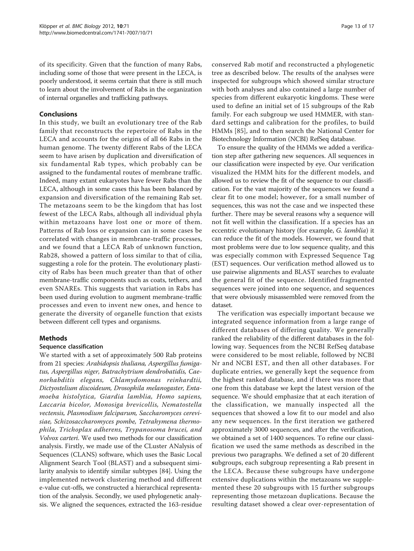of its specificity. Given that the function of many Rabs, including some of those that were present in the LECA, is poorly understood, it seems certain that there is still much to learn about the involvement of Rabs in the organization of internal organelles and trafficking pathways.

# Conclusions

In this study, we built an evolutionary tree of the Rab family that reconstructs the repertoire of Rabs in the LECA and accounts for the origins of all 66 Rabs in the human genome. The twenty different Rabs of the LECA seem to have arisen by duplication and diversification of six fundamental Rab types, which probably can be assigned to the fundamental routes of membrane traffic. Indeed, many extant eukaryotes have fewer Rabs than the LECA, although in some cases this has been balanced by expansion and diversification of the remaining Rab set. The metazoans seem to be the kingdom that has lost fewest of the LECA Rabs, although all individual phyla within metazoans have lost one or more of them. Patterns of Rab loss or expansion can in some cases be correlated with changes in membrane-traffic processes, and we found that a LECA Rab of unknown function, Rab28, showed a pattern of loss similar to that of cilia, suggesting a role for the protein. The evolutionary plasticity of Rabs has been much greater than that of other membrane-traffic components such as coats, tethers, and even SNAREs. This suggests that variation in Rabs has been used during evolution to augment membrane-traffic processes and even to invent new ones, and hence to generate the diversity of organelle function that exists between different cell types and organisms.

#### Methods

#### Sequence classification

We started with a set of approximately 500 Rab proteins from 21 species: Arabidopsis thaliana, Aspergillus fumigatus, Aspergillus niger, Batrachytrium dendrobatidis, Caenorhabditis elegans, Chlamydomonas reinhardtii, Dictyostelium discoideum, Drosophila melanogaster, Entamoeba histolytica, Giardia lamblia, Homo sapiens, Laccaria bicolor, Monosiga brevicollis, Nematostella vectensis, Plasmodium falciparum, Saccharomyces cerevisiae, Schizosaccharomyces pombe, Tetrahymena thermophila, Trichoplax adherens, Trypanosoma brucei, and Volvox carteri. We used two methods for our classification analysis. Firstly, we made use of the CLuster ANalysis of Sequences (CLANS) software, which uses the Basic Local Alignment Search Tool (BLAST) and a subsequent similarity analysis to identify similar subtypes [[84\]](#page-16-0). Using the implemented network clustering method and different e-value cut-offs, we constructed a hierarchical representation of the analysis. Secondly, we used phylogenetic analysis. We aligned the sequences, extracted the 163-residue conserved Rab motif and reconstructed a phylogenetic tree as described below. The results of the analyses were inspected for subgroups which showed similar structure with both analyses and also contained a large number of species from different eukaryotic kingdoms. These were used to define an initial set of 15 subgroups of the Rab family. For each subgroup we used HMMER, with standard settings and calibration for the profiles, to build HMMs [[85\]](#page-16-0), and to then search the National Center for Biotechnology Information (NCBI) RefSeq database.

To ensure the quality of the HMMs we added a verification step after gathering new sequences. All sequences in our classification were inspected by eye. Our verification visualized the HMM hits for the different models, and allowed us to review the fit of the sequence to our classification. For the vast majority of the sequences we found a clear fit to one model; however, for a small number of sequences, this was not the case and we inspected these further. There may be several reasons why a sequence will not fit well within the classification. If a species has an eccentric evolutionary history (for example, G. lamblia) it can reduce the fit of the models. However, we found that most problems were due to low sequence quality, and this was especially common with Expressed Sequence Tag (EST) sequences. Our verification method allowed us to use pairwise alignments and BLAST searches to evaluate the general fit of the sequence. Identified fragmented sequences were joined into one sequence, and sequences that were obviously misassembled were removed from the dataset.

The verification was especially important because we integrated sequence information from a large range of different databases of differing quality. We generally ranked the reliability of the different databases in the following way. Sequences from the NCBI RefSeq database were considered to be most reliable, followed by NCBI Nr and NCBI EST, and then all other databases. For duplicate entries, we generally kept the sequence from the highest ranked database, and if there was more that one from this database we kept the latest version of the sequence. We should emphasize that at each iteration of the classification, we manually inspected all the sequences that showed a low fit to our model and also any new sequences. In the first iteration we gathered approximately 3000 sequences, and after the verification, we obtained a set of 1400 sequences. To refine our classification we used the same methods as described in the previous two paragraphs. We defined a set of 20 different subgroups, each subgroup representing a Rab present in the LECA. Because these subgroups have undergone extensive duplications within the metazoans we supplemented these 20 subgroups with 15 further subgroups representing those metazoan duplications. Because the resulting dataset showed a clear over-representation of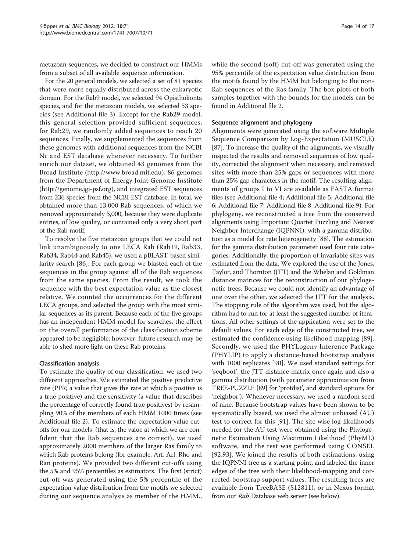metazoan sequences, we decided to construct our HMMs from a subset of all available sequence information.

For the 20 general models, we selected a set of 81 species that were more equally distributed across the eukaryotic domain. For the Rab9 model, we selected 94 Opisthokonta species, and for the metazoan models, we selected 53 species (see Additional file [3\)](#page-14-0). Except for the Rab29 model, this general selection provided sufficient sequences; for Rab29, we randomly added sequences to reach 20 sequences. Finally, we supplemented the sequences from these genomes with additional sequences from the NCBI Nr and EST database whenever necessary. To further enrich our dataset, we obtained 43 genomes from the Broad Institute [\(http://www.broad.mit.edu\)](http://www.broad.mit.edu), 86 genomes from the Department of Energy Joint Genome Institute (<http://genome.jgi-psf.org>), and integrated EST sequences from 236 species from the NCBI EST database. In total, we obtained more than 13,000 Rab sequences, of which we removed approximately 5,000, because they were duplicate entries, of low quality, or contained only a very short part of the Rab motif.

To resolve the five metazoan groups that we could not link unambiguously to one LECA Rab (Rab19, Rab33, Rab34, Rab44 and Rab45), we used a pBLAST-based similarity search [[86\]](#page-16-0). For each group we blasted each of the sequences in the group against all of the Rab sequences from the same species. From the result, we took the sequence with the best expectation value as the closest relative. We counted the occurrences for the different LECA groups, and selected the group with the most similar sequences as its parent. Because each of the five groups has an independent HMM model for searches, the effect on the overall performance of the classification scheme appeared to be negligible; however, future research may be able to shed more light on these Rab proteins.

#### Classification analysis

To estimate the quality of our classification, we used two different approaches. We estimated the positive predictive rate (PPR; a value that gives the rate at which a positive is a true positive) and the sensitivity (a value that describes the percentage of correctly found true positives) by resampling 90% of the members of each HMM 1000 times (see Additional file [2](#page-14-0)). To estimate the expectation value cutoffs for our models, (that is, the value at which we are confident that the Rab sequences are correct), we used approximately 2000 members of the larger Ras family to which Rab proteins belong (for example, Arf, Arl, Rho and Ran proteins). We provided two different cut-offs using the 5% and 95% percentiles as estimators. The first (strict) cut-off was generated using the 5% percentile of the expectation value distribution from the motifs we selected during our sequence analysis as member of the HMM., while the second (soft) cut-off was generated using the 95% percentile of the expectation value distribution from the motifs found by the HMM but belonging to the non-Rab sequences of the Ras family. The box plots of both samples together with the bounds for the models can be found in Additional file [2](#page-14-0).

#### Sequence alignment and phylogeny

Alignments were generated using the software Multiple Sequence Comparison by Log-Expectation (MUSCLE) [[87](#page-16-0)]. To increase the quality of the alignments, we visually inspected the results and removed sequences of low quality, corrected the alignment when necessary, and removed sites with more than 25% gaps or sequences with more than 25% gap characters in the motif. The resulting alignments of groups I to VI are available as FASTA format files (see Additional file [4;](#page-14-0) Additional file [5](#page-14-0); Additional file [6](#page-14-0); Additional file [7;](#page-14-0) Additional file [8;](#page-14-0) Additional file [9](#page-14-0)). For phylogeny, we reconstructed a tree from the conserved alignments using Important Quartet Puzzling and Nearest Neighbor Interchange (IQPNNI), with a gamma distribution as a model for rate heterogeneity [[88](#page-16-0)]. The estimation for the gamma distribution parameter used four rate categories. Additionally, the proportion of invariable sites was estimated from the data. We explored the use of the Jones, Taylor, and Thornton (JTT) and the Whelan and Goldman distance matrices for the reconstruction of our phylogenetic trees. Because we could not identify an advantage of one over the other, we selected the JTT for the analysis. The stopping rule of the algorithm was used, but the algorithm had to run for at least the suggested number of iterations. All other settings of the application were set to the default values. For each edge of the constructed tree, we estimated the confidence using likelihood mapping [\[89](#page-16-0)]. Secondly, we used the PHYLogeny Inference Package (PHYLIP) to apply a distance-based bootstrap analysis with 1000 replicates [[90\]](#page-16-0). We used standard settings for 'seqboot', the JTT distance matrix once again and also a gamma distribution (with parameter approximation from TREE-PUZZLE [\[89\]](#page-16-0) for 'protdist', and standard options for 'neighbor'). Whenever necessary, we used a random seed of nine. Because bootstrap values have been shown to be systematically biased, we used the almost unbiased (AU) test to correct for this [\[91\]](#page-16-0). The site wise log-likelihoods needed for the AU test were obtained using the Phylogenetic Estimation Using Maximum Likelihood (PhyML) software, and the test was performed using CONSEL [[92,93](#page-16-0)]. We joined the results of both estimations, using the IQPNNI tree as a starting point, and labeled the inner edges of the tree with their likelihood-mapping and corrected-bootstrap support values. The resulting trees are available from TreeBASE (S12811), or in Nexus format from our Rab Database web server (see below).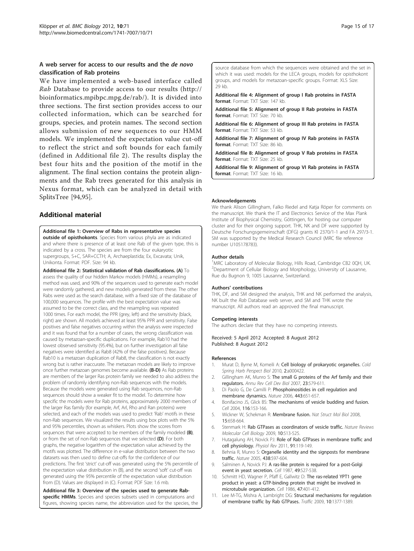# <span id="page-14-0"></span>A web server for access to our results and the de novo classification of Rab proteins

We have implemented a web-based interface called Rab Database to provide access to our results ([http://](http://bioinformatics.mpibpc.mpg.de/rab/) [bioinformatics.mpibpc.mpg.de/rab/](http://bioinformatics.mpibpc.mpg.de/rab/)). It is divided into three sections. The first section provides access to our collected information, which can be searched for groups, species, and protein names. The second section allows submission of new sequences to our HMM models. We implemented the expectation value cut-off to reflect the strict and soft bounds for each family (defined in Additional file 2). The results display the best four hits and the position of the motif in the alignment. The final section contains the protein alignments and the Rab trees generated for this analysis in Nexus format, which can be analyzed in detail with SplitsTree [\[94](#page-16-0),[95\]](#page-16-0).

#### Additional material

# [Additional file 1: O](http://www.biomedcentral.com/content/supplementary/1741-7007-10-71-S1.PDF)verview of Rabs in representative species

outside of opisthokonts. Species from various phyla are as indicated and where there is presence of at least one Rab of the given type, this is indicated by a cross. The species are from the four eukaryotic supergroups, S+C, SAR+CCTH; A, Archaeplastida; Ex, Excavata; Unik, Unikonta. Format: PDF. Size: 94 kb.

[Additional file 2: S](http://www.biomedcentral.com/content/supplementary/1741-7007-10-71-S2.PDF)tatistical validation of Rab classifications. (A) To assess the quality of our hidden Markov models (HMMs), a resampling method was used, and 90% of the sequences used to generate each model were randomly gathered, and new models generated from these. The other Rabs were used as the search database, with a fixed size of the database of 100,000 sequences. The profile with the best expectation value was assumed to be the correct class, and the resampling was repeated 1000 times. For each model, the PPR (grey, left) and the sensitivity (black, right) are shown. All models achieved at least 95% PPR and sensitivity. False positives and false negatives occurring within the analysis were inspected and it was found that for a number of cases, the wrong classification was caused by metazoan-specific duplications. For example, Rab10 had the lowest observed sensitivity (95.4%), but on further investigation all false negatives were identified as Rab8 (42% of the false positives). Because Rab10 is a metazoan duplication of Rab8, the classification is not exactly wrong but is rather inaccurate. The metazoan models are likely to improve once further metazoan genomes become available. (B-D) As Rab proteins are members of the larger Ras protein family we needed to also address the problem of randomly identifying non-Rab sequences with the models. Because the models were generated using Rab sequences, non-Rab sequences should show a weaker fit to the model. To determine how specific the models were for Rab proteins, approximately 2000 members of the larger Ras family (for example, Arf, Arl, Rho and Ran proteins) were selected, and each of the models was used to predict 'Rab' motifs in these non-Rab sequences. We visualized the results using box plots with the 5% and 95% percentiles, shown as whiskers. Plots show the scores from sequences that were accepted to be members of the family modeled (B), or from the set of non-Rab sequences that we selected (D). For both graphs, the negative logarithm of the expectation value achieved by the motifs was plotted. The difference in e-value distribution between the two datasets was then used to define cut-offs for the confidence of our predictions. The first 'strict' cut-off was generated using the 5% percentile of the expectation value distribution in (B), and the second 'soft' cut-off was generated using the 95% percentile of the expectation value distribution from (D). Values are displayed in (C). Format: PDF Size: 1.6 mb.

#### [Additional file 3: O](http://www.biomedcentral.com/content/supplementary/1741-7007-10-71-S3.XLS)verview of the species used to generate Rabspecific HMMs. Species and species subsets used in computations and figures, showing species name, the abbreviation used for the species, the

source database from which the sequences were obtained and the set in which it was used: models for the LECA groups, models for opisthokont groups, and models for metazoan-specific groups. Format: XLS Size: 29 kb.

[Additional file 4: A](http://www.biomedcentral.com/content/supplementary/1741-7007-10-71-S4.TXT)lignment of group I Rab proteins in FASTA format. Format: TXT Size: 147 kb.

[Additional file 5: A](http://www.biomedcentral.com/content/supplementary/1741-7007-10-71-S5.TXT)lignment of group II Rab proteins in FASTA format. Format: TXT Size: 70 kb.

[Additional file 6: A](http://www.biomedcentral.com/content/supplementary/1741-7007-10-71-S6.TXT)lignment of group III Rab proteins in FASTA format. Format: TXT Size: 53 kb.

[Additional file 7: A](http://www.biomedcentral.com/content/supplementary/1741-7007-10-71-S7.TXT)lignment of group IV Rab proteins in FASTA format. Format: TXT Size: 86 kb.

[Additional file 8: A](http://www.biomedcentral.com/content/supplementary/1741-7007-10-71-S8.TXT)lignment of group V Rab proteins in FASTA format. Format: TXT Size: 25 kb.

[Additional file 9: A](http://www.biomedcentral.com/content/supplementary/1741-7007-10-71-S9.TXT)lignment of group VI Rab proteins in FASTA format. Format: TXT Size: 16 kb.

#### Acknowledgements

We thank Alison Gillingham, Falko Riedel and Katja Röper for comments on the manuscript. We thank the IT and Electronics Service of the Max Plank Institute of Biophysical Chemistry, Göttingen, for hosting our computer cluster and for their ongoing support. THK, NK and DF were supported by Deutsche Forschungsgemeinschaft (DFG) grants Kl 2370/1-1 and FA 297/3-1. SM was supported by the Medical Research Council (MRC file reference number U105178783).

#### Author details

<sup>1</sup>MRC Laboratory of Molecular Biology, Hills Road, Cambridge CB2 0QH, UK <sup>2</sup>Department of Cellular Biology and Morphology, University of Lausanne Rue du Bugnon 9, 1005 Lausanne, Switzerland.

#### Authors' contributions

THK, DF, and SM designed the analysis, THK and NK performed the analysis, NK built the Rab Database web server, and SM and THK wrote the manuscript. All authors read an approved the final manuscript.

#### Competing interests

The authors declare that they have no competing interests.

Received: 5 April 2012 Accepted: 8 August 2012 Published: 8 August 2012

#### References

- Murat D, Byrne M, Komeili A: Cell biology of prokaryotic organelles. Cold Spring Harb Perspect Biol 2010, 2:a000422
- 2. Gillingham AK, Munro S: The small G proteins of the Arf family and their regulators. Annu Rev Cell Dev Biol 2007, 23:579-611.
- 3. Di Paolo G, De Camilli P: Phosphoinositides in cell regulation and membrane dynamics. Nature 2006, 443:651-657.
- 4. Bonifacino JS, Glick BS: The mechanisms of vesicle budding and fusion. Cell 2004, 116:153-166.
- 5. Wickner W, Schekman R: Membrane fusion. Nat Struct Mol Biol 2008, 15:658-664.
- 6. Stenmark H: Rab GTPases as coordinators of vesicle traffic. Nature Reviews Molecular Cell Biology 2009, 10:513-525.
- 7. Hutagalung AH, Novick PJ: Role of Rab GTPases in membrane traffic and cell physiology. Physiol Rev 2011, 91:119-149.
- 8. Behnia R, Munro S: Organelle identity and the signposts for membrane traffic. Nature 2005, 438:597-604.
- 9. Salminen A, Novick PJ: A ras-like protein is required for a post-Golgi event in yeast secretion. Cell 1987, 49:527-538.
- 10. Schmitt HD, Wagner P, Pfaff E, Gallwitz D: The ras-related YPT1 gene product in yeast: a GTP-binding protein that might be involved in microtubule organization. Cell 1986, 47:401-412.
- 11. Lee M-TG, Mishra A, Lambright DG: Structural mechanisms for regulation of membrane traffic by Rab GTPases. Traffic 2009, 10:1377-1389.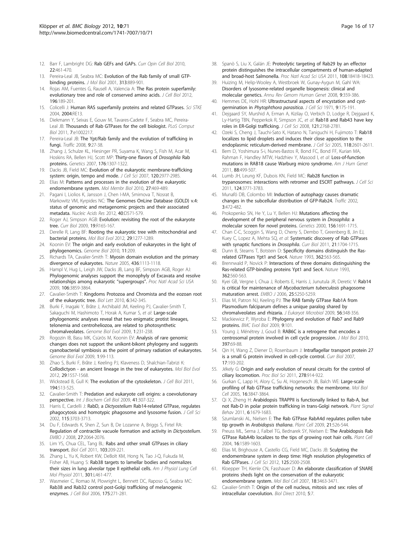- <span id="page-15-0"></span>12. Barr F, Lambright DG: Rab GEFs and GAPs. Curr Opin Cell Biol 2010. 22:461-470.
- 13. Pereira-Leal JB, Seabra MC: Evolution of the Rab family of small GTPbinding proteins. J Mol Biol 2001, 313:889-901.
- 14. Rojas AM, Fuentes G, Rausell A, Valencia A: The Ras protein superfamily: evolutionary tree and role of conserved amino acids. J Cell Biol 2012, 196:189-201.
- 15. Colicelli J: Human RAS superfamily proteins and related GTPases. Sci STKE 2004, 2004:RE13.
- 16. Diekmann Y, Seixas E, Gouw M, Tavares-Cadete F, Seabra MC, Pereira-Leal JB: Thousands of Rab GTPases for the cell biologist. PLoS Comput Biol 2011, 7:e1002217.
- 17. Pereira-Leal JB: The Ypt/Rab family and the evolution of trafficking in fungi. Traffic 2008, 9:27-38.
- 18. Zhang J, Schulze KL, Hiesinger PR, Suyama K, Wang S, Fish M, Acar M, Hoskins RA, Bellen HJ, Scott MP: Thirty-one flavors of Drosophila Rab proteins. Genetics 2007, 176:1307-1322.
- 19. Dacks JB, Field MC: Evolution of the eukaryotic membrane-trafficking system: origin, tempo and mode. J Cell Sci 2007, 120:2977-2985.
- 20. Elias M: Patterns and processes in the evolution of the eukaryotic endomembrane system. Mol Membr Biol 2010, 27:469-489.
- 21. Pagani I, Liolios K, Jansson J, Chen I-MA, Smirnova T, Nosrat B, Markowitz VM, Kyrpides NC: The Genomes OnLine Database (GOLD) v.4: status of genomic and metagenomic projects and their associated metadata. Nucleic Acids Res 2012, 40:D571-579.
- 22. Roger AJ, Simpson AGB: Evolution: revisiting the root of the eukaryote tree. Curr Biol 2009, 19:R165-167.
- 23. Derelle R, Lang BF: Rooting the eukaryotic tree with mitochondrial and bacterial proteins. Mol Biol Evol 2012, 29:1277-1289.
- 24. Koonin EV: The origin and early evolution of eukaryotes in the light of phylogenomics. Genome Biol 2010, 11:209.
- 25. Richards TA, Cavalier-Smith T: Myosin domain evolution and the primary divergence of eukaryotes. Nature 2005, 436:1113-1118.
- 26. Hampl V, Hug L, Leigh JW, Dacks JB, Lang BF, Simpson AGB, Roger AJ: Phylogenomic analyses support the monophyly of Excavata and resolve relationships among eukaryotic "supergroups". Proc Natl Acad Sci USA 2009, 106:3859-3864.
- 27. Cavalier-Smith T: Kingdoms Protozoa and Chromista and the eozoan root of the eukaryotic tree. Biol Lett 2010, 6:342-345.
- 28. Burki F, Inagaki Y, Bråte J, Archibald JM, Keeling PJ, Cavalier-Smith T, Sakaguchi M, Hashimoto T, Horak A, Kumar S, et al: Large-scale phylogenomic analyses reveal that two enigmatic protist lineages, telonemia and centroheliozoa, are related to photosynthetic chromalveolates. Genome Biol Evol 2009, 1:231-238.
- 29. Rogozin IB, Basu MK, Csürös M, Koonin EV: Analysis of rare genomic changes does not support the unikont-bikont phylogeny and suggests cyanobacterial symbiosis as the point of primary radiation of eukaryotes. Genome Biol Evol 2009, 1:99-113.
- 30. Zhao S, Burki F, Bråte J, Keeling PJ, Klaveness D, Shalchian-Tabrizi K: Collodictyon - an ancient lineage in the tree of eukaryotes. Mol Biol Evol 2012, 29:1557-1568.
- 31. Wickstead B, Gull K: The evolution of the cytoskeleton. J Cell Biol 2011, 194:513-525.
- 32. Cavalier-Smith T: Predation and eukaryote cell origins: a coevolutionary perspective. Int J Biochem Cell Biol 2009, 41:307-322.
- 33. Harris E, Cardelli J: RabD, a Dictyostelium Rab14-related GTPase, regulates phagocytosis and homotypic phagosome and lysosome fusion. J Cell Sci 2002, 115:3703-3713.
- 34. Du F, Edwards K, Shen Z, Sun B, De Lozanne A, Briggs S, Firtel RA: Regulation of contractile vacuole formation and activity in Dictyostelium. EMBO J 2008, 27:2064-2076.
- 35. Lim YS, Chua CEL, Tang BL: Rabs and other small GTPases in ciliary transport. Biol Cell 2011, 103:209-221.
- 36. Zhang L, Yu K, Robert KW, DeBolt KM, Hong N, Tao J-Q, Fukuda M, Fisher AB, Huang S: Rab38 targets to lamellar bodies and normalizes their sizes in lung alveolar type II epithelial cells. Am J Physiol Lung Cell Mol Physiol 2011, 301:L461-477.
- 37. Wasmeier C, Romao M, Plowright L, Bennett DC, Raposo G, Seabra MC: Rab38 and Rab32 control post-Golgi trafficking of melanogenic enzymes. J Cell Biol 2006, 175:271-281.
- 38. Spanò S, Liu X, Galán JE: Proteolytic targeting of Rab29 by an effector protein distinguishes the intracellular compartments of human-adapted and broad-host Salmonella. Proc Natl Acad Sci USA 2011, 108:18418-18423.
- 39. Huizing M, Helip-Wooley A, Westbroek W, Gunay-Aygun M, Gahl WA: Disorders of lysosome-related organelle biogenesis: clinical and molecular genetics. Annu Rev Genom Human Genet 2008, 9:359-386.
- 40. Hemmes DE, Hohl HR: Ultrastructural aspects of encystation and cystgermination in Phytophthora parasitica. J Cell Sci 1971, 9:175-191.
- 41. Dejgaard SY, Murshid A, Erman A, Kizilay O, Verbich D, Lodge R, Dejgaard K, Ly-Hartig TBN, Pepperkok R, Simpson JC, et al: Rab18 and Rab43 have key roles in ER-Golgi trafficking. J Cell Sci 2008, 121:2768-2781.
- 42. Ozeki S, Cheng J, Tauchi-Sato K, Hatano N, Taniguchi H, Fujimoto T: Rab18 localizes to lipid droplets and induces their close apposition to the endoplasmic reticulum-derived membrane. J Cell Sci 2005, 118:2601-2611.
- 43. Bem D, Yoshimura S-i, Nunes-Bastos R, Bond FC, Bond FF, Kurian MA, Rahman F, Handley MTW, Hadzhiev Y, Masood I, et al: Loss-of-function mutations in RAB18 cause Warburg micro syndrome. Am J Hum Genet 2011, 88:499-507.
- 44. Lumb JH, Leung KF, Dubois KN, Field MC: Rab28 function in trypanosomes: interactions with retromer and ESCRT pathways. J Cell Sci 2011, 124:3771-3783.
- 45. Munafó DB, Colombo MI: Induction of autophagy causes dramatic changes in the subcellular distribution of GFP-Rab24. Traffic 2002, 3:472-482.
- 46. Prokopenko SN, He Y, Lu Y, Bellen HJ: Mutations affecting the development of the peripheral nervous system in Drosophila: a molecular screen for novel proteins. Genetics 2000, 156:1691-1715.
- 47. Chan C-C, Scoggin S, Wang D, Cherry S, Dembo T, Greenberg B, Jin EJ, Kuey C, Lopez A, Mehta SQ, et al: Systematic discovery of Rab GTPases with synaptic functions in Drosophila. Curr Biol 2011, 21:1704-1715.
- 48. Dunn B, Stearns T, Botstein D: Specificity domains distinguish the Rasrelated GTPases Ypt1 and Sec4. Nature 1993, 362:563-565.
- 49. Brennwald P, Novick P: Interactions of three domains distinguishing the Ras-related GTP-binding proteins Ypt1 and Sec4. Nature 1993, 362:560-563.
- 50. Kyei GB, Vergne I, Chua J, Roberts E, Harris J, Junutula JR, Deretic V: Rab14 is critical for maintenance of Mycobacterium tuberculosis phagosome maturation arrest. EMBO J 2006, 25:5250-5259.
- 51. Elias M, Patron NJ, Keeling PJ: The RAB family GTPase Rab1A from Plasmodium falciparum defines a unique paralog shared by chromalveolates and rhizaria. J Eukaryot Microbiol 2009, 56:348-356.
- 52. Mackiewicz P, Wyroba E: Phylogeny and evolution of Rab7 and Rab9 proteins. BMC Evol Biol 2009, 9:101.
- 53. Young J, Ménétrey J, Goud B: RAB6C is a retrogene that encodes a centrosomal protein involved in cell cycle progression. J Mol Biol 2010, 397:69-88.
- 54. Qin H, Wang Z, Diener D, Rosenbaum J: Intraflagellar transport protein 27 is a small G protein involved in cell-cycle control. Curr Biol 2007, 17:193-202.
- 55. Jékely G: Origin and early evolution of neural circuits for the control of ciliary locomotion. Proc Biol Sci 2011, 278:914-922.
- 56. Gurkan C, Lapp H, Alory C, Su AI, Hogenesch JB, Balch WE: Large-scale profiling of Rab GTPase trafficking networks: the membrome. Mol Biol Cell 2005, 16:3847-3864.
- 57. Qi X, Zheng H: [Arabidopsis TRAPPII is functionally linked to Rab-A, but](http://www.ncbi.nlm.nih.gov/pubmed/22067991?dopt=Abstract) [not Rab-D in polar protein trafficking in trans-Golgi network.](http://www.ncbi.nlm.nih.gov/pubmed/22067991?dopt=Abstract) Plant Signal Behav 2011, 6:1679-1683.
- Szumlanski AL, Nielsen E: The Rab GTPase RabA4d regulates pollen tube tip growth in Arabidopsis thaliana. Plant Cell 2009, 21:526-544.
- 59. Preuss ML, Serna J, Falbel TG, Bednarek SY, Nielsen E: The Arabidopsis Rab GTPase RabA4b localizes to the tips of growing root hair cells. Plant Cell 2004, 16:1589-1603.
- 60. Elias M, Brighouse A, Castello CG, Field MC, Dacks JB: [Sculpting the](http://www.ncbi.nlm.nih.gov/pubmed/22366452?dopt=Abstract) [endomembrane system in deep time: High resolution phylogenetics of](http://www.ncbi.nlm.nih.gov/pubmed/22366452?dopt=Abstract) [Rab GTPases.](http://www.ncbi.nlm.nih.gov/pubmed/22366452?dopt=Abstract) J Cell Sci 2012, 125:2500-2508.
- 61. Kloepper TH, Kienle CN, Fasshauer D: An elaborate classification of SNARE proteins sheds light on the conservation of the eukaryotic endomembrane system. Mol Biol Cell 2007, 18:3463-3471.
- 62. Cavalier-Smith T: Origin of the cell nucleus, mitosis and sex: roles of intracellular coevolution. Biol Direct 2010, 5:7.